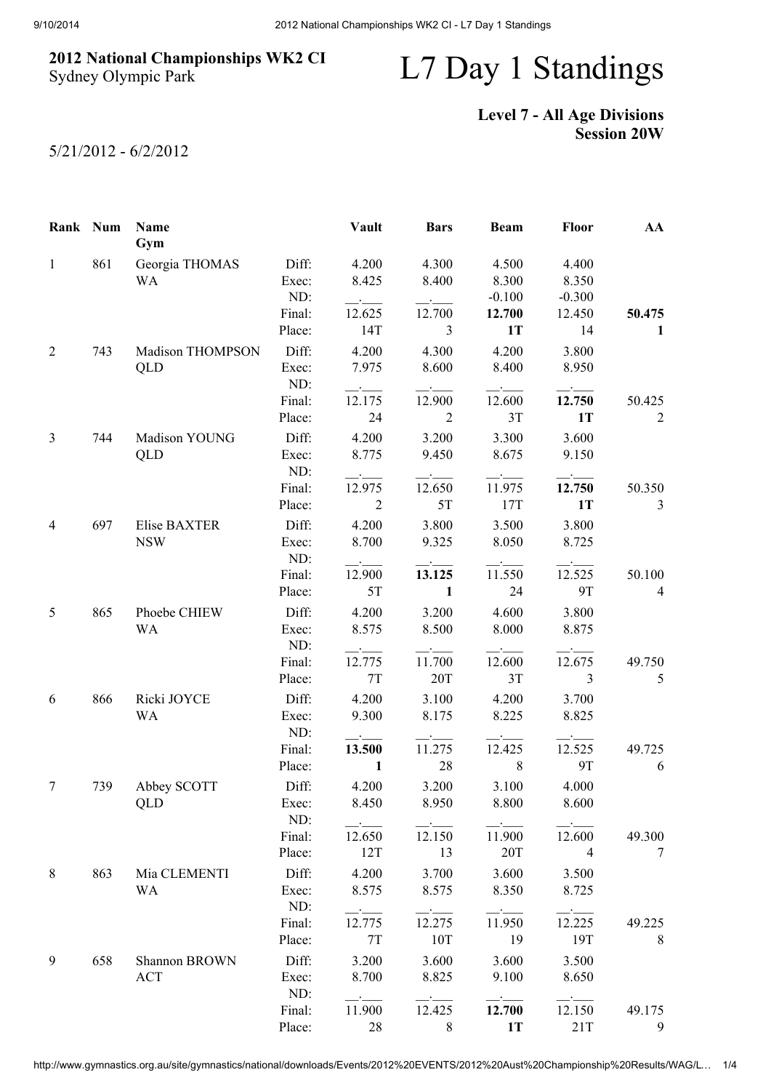## 2012 National Championships WK2 CI Sydney Olympic Park

## L7 Day 1 Standings

## Level 7 - All Age Divisions Session 20W

5/21/2012 - 6/2/2012

| Rank Num     |     | Name<br>Gym          |                  | <b>Vault</b>                                       | <b>Bars</b>                       | <b>Beam</b>                   | <b>Floor</b>                      | AA             |
|--------------|-----|----------------------|------------------|----------------------------------------------------|-----------------------------------|-------------------------------|-----------------------------------|----------------|
| $\mathbf{1}$ | 861 | Georgia THOMAS<br>WA | Diff:<br>Exec:   | 4.200<br>8.425                                     | 4.300<br>8.400                    | 4.500<br>8.300                | 4.400<br>8.350                    |                |
|              |     |                      | ND:              | $ -$                                               |                                   | $-0.100$                      | $-0.300$                          |                |
|              |     |                      | Final:           | 12.625                                             | 12.700                            | 12.700                        | 12.450                            | 50.475         |
|              |     |                      | Place:           | 14T                                                | $\mathfrak{Z}$                    | 1T                            | 14                                | 1              |
| 2            | 743 | Madison THOMPSON     | Diff:            | 4.200                                              | 4.300                             | 4.200                         | 3.800                             |                |
|              |     | QLD                  | Exec:<br>ND:     | 7.975<br>$\rightarrow$ $\rightarrow$ $\rightarrow$ | 8.600<br>$\overline{\phantom{a}}$ | 8.400<br><u>and the state</u> | 8.950<br>$\overline{\phantom{a}}$ |                |
|              |     |                      | Final:           | 12.175                                             | 12.900                            | 12.600                        | 12.750                            | 50.425         |
|              |     |                      | Place:           | 24                                                 | $\overline{2}$                    | 3T                            | <b>1T</b>                         | $\overline{2}$ |
| 3            | 744 | Madison YOUNG        | Diff:            | 4.200                                              | 3.200                             | 3.300                         | 3.600                             |                |
|              |     | QLD                  | Exec:<br>ND:     | 8.775<br>$ -$                                      | 9.450                             | 8.675                         | 9.150                             |                |
|              |     |                      | Final:           | 12.975                                             | 12.650                            | 11.975                        | 12.750                            | 50.350         |
|              |     |                      | Place:           | $\overline{2}$                                     | 5T                                | 17T                           | <b>1T</b>                         | $\mathfrak{Z}$ |
| 4            | 697 | Elise BAXTER         | Diff:            | 4.200                                              | 3.800                             | 3.500                         | 3.800                             |                |
|              |     | <b>NSW</b>           | Exec:            | 8.700                                              | 9.325                             | 8.050                         | 8.725                             |                |
|              |     |                      | ND:              |                                                    |                                   |                               |                                   |                |
|              |     |                      | Final:           | 12.900                                             | 13.125                            | 11.550                        | 12.525                            | 50.100         |
|              |     |                      | Place:           | 5T                                                 | 1                                 | 24                            | <b>9T</b>                         | $\overline{4}$ |
| 5            | 865 | Phoebe CHIEW         | Diff:            | 4.200                                              | 3.200                             | 4.600                         | 3.800                             |                |
|              |     | <b>WA</b>            | Exec:            | 8.575                                              | 8.500                             | 8.000                         | 8.875                             |                |
|              |     |                      | ND:              | $\sim 10^{-10}$                                    |                                   |                               |                                   |                |
|              |     |                      | Final:           | 12.775                                             | 11.700                            | 12.600                        | 12.675                            | 49.750         |
|              |     |                      | Place:           | 7T                                                 | 20T                               | 3T                            | 3                                 | 5              |
| 6            | 866 | Ricki JOYCE          | Diff:            | 4.200                                              | 3.100                             | 4.200                         | 3.700                             |                |
|              |     | <b>WA</b>            | Exec:<br>ND:     | 9.300                                              | 8.175                             | 8.225                         | 8.825                             |                |
|              |     |                      | Final:           | 13.500                                             | 11.275                            | 12.425                        | 12.525                            | 49.725         |
|              |     |                      | Place:           | 1                                                  | 28                                | 8                             | <b>9T</b>                         | 6              |
| 7            | 739 | Abbey SCOTT          | Diff:            | 4.200                                              | 3.200                             | 3.100                         | 4.000                             |                |
|              |     | QLD                  | Exec:            | 8.450                                              | 8.950                             | 8.800                         | 8.600                             |                |
|              |     |                      | ND:              | $\cdot$ $-$                                        |                                   | $ -$                          |                                   |                |
|              |     |                      | Final:           | 12.650                                             | 12.150                            | 11.900                        | 12.600                            | 49.300         |
|              |     |                      | Place:           | 12T                                                | 13                                | 20T                           | $\overline{4}$                    | 7              |
| 8            | 863 | Mia CLEMENTI         | Diff:            | 4.200                                              | 3.700                             | 3.600                         | 3.500                             |                |
|              |     | WA                   | Exec:            | 8.575                                              | 8.575                             | 8.350                         | 8.725                             |                |
|              |     |                      | ND:              |                                                    |                                   |                               |                                   |                |
|              |     |                      | Final:<br>Place: | 12.775<br>7T                                       | 12.275<br>10T                     | 11.950<br>19                  | 12.225<br>19T                     | 49.225<br>8    |
|              |     |                      |                  |                                                    |                                   |                               |                                   |                |
| 9            | 658 | Shannon BROWN        | Diff:            | 3.200                                              | 3.600                             | 3.600                         | 3.500                             |                |
|              |     | <b>ACT</b>           | Exec:<br>ND:     | 8.700                                              | 8.825                             | 9.100                         | 8.650                             |                |
|              |     |                      | Final:           | 11.900                                             | 12.425                            | 12.700                        | 12.150                            | 49.175         |
|              |     |                      | Place:           | 28                                                 | 8                                 | 1T                            | 21T                               | 9              |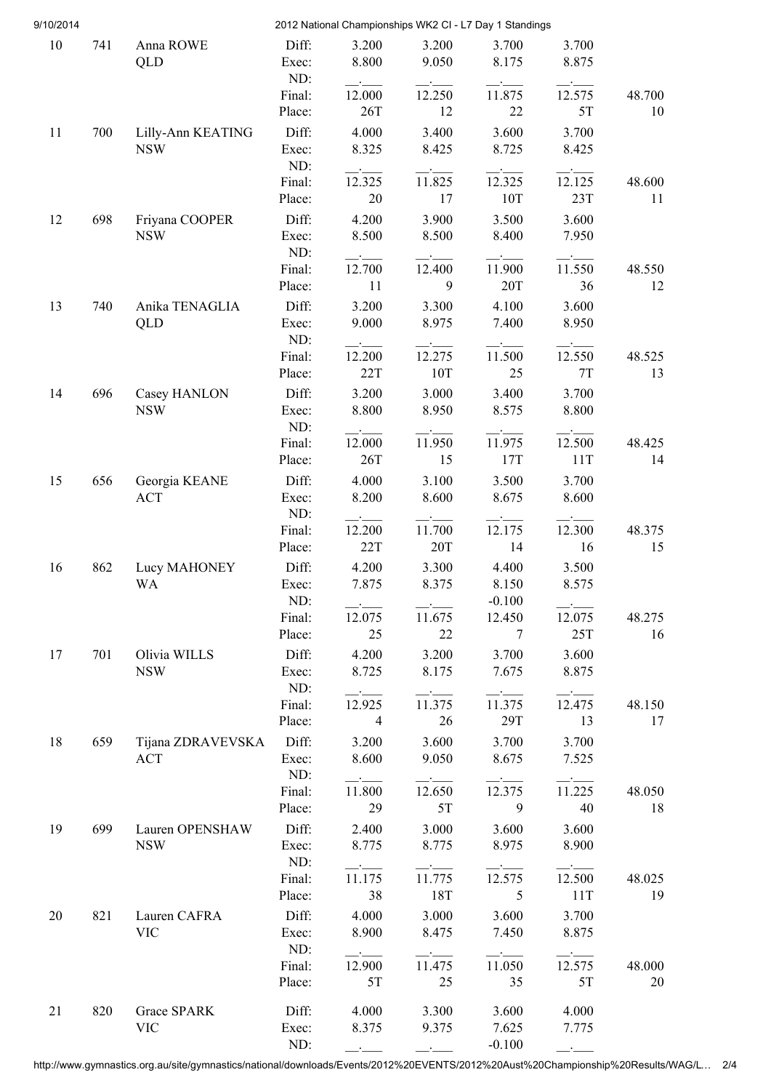| 9/10/2014 |     |                                |                  | 2012 National Championships WK2 CI - L7 Day 1 Standings |                                                                               |                                                                               |                          |              |
|-----------|-----|--------------------------------|------------------|---------------------------------------------------------|-------------------------------------------------------------------------------|-------------------------------------------------------------------------------|--------------------------|--------------|
| 10        | 741 | Anna ROWE<br><b>QLD</b>        | Diff:<br>Exec:   | 3.200<br>8.800                                          | 3.200<br>9.050                                                                | 3.700<br>8.175                                                                | 3.700<br>8.875           |              |
|           |     |                                | ND:              |                                                         |                                                                               |                                                                               |                          |              |
|           |     |                                | Final:<br>Place: | 12.000<br>26T                                           | 12.250<br>12                                                                  | 11.875<br>22                                                                  | 12.575<br>5T             | 48.700<br>10 |
| 11        | 700 | Lilly-Ann KEATING              | Diff:            | 4.000                                                   | 3.400                                                                         | 3.600                                                                         | 3.700                    |              |
|           |     | <b>NSW</b>                     | Exec:            | 8.325                                                   | 8.425                                                                         | 8.725                                                                         | 8.425                    |              |
|           |     |                                | ND:              |                                                         | $ -$                                                                          |                                                                               |                          |              |
|           |     |                                | Final:           | 12.325                                                  | 11.825                                                                        | 12.325                                                                        | 12.125                   | 48.600       |
|           |     |                                | Place:           | 20                                                      | 17                                                                            | 10T                                                                           | 23T                      | 11           |
| 12        | 698 | Friyana COOPER                 | Diff:            | 4.200                                                   | 3.900                                                                         | 3.500                                                                         | 3.600                    |              |
|           |     | <b>NSW</b>                     | Exec:<br>ND:     | 8.500                                                   | 8.500                                                                         | 8.400                                                                         | 7.950                    |              |
|           |     |                                | Final:           | 12.700                                                  | 12.400                                                                        | 11.900                                                                        | 11.550                   | 48.550       |
|           |     |                                | Place:           | 11                                                      | 9                                                                             | 20T                                                                           | 36                       | 12           |
| 13        | 740 | Anika TENAGLIA                 | Diff:            | 3.200                                                   | 3.300                                                                         | 4.100                                                                         | 3.600                    |              |
|           |     | QLD                            | Exec:            | 9.000                                                   | 8.975                                                                         | 7.400                                                                         | 8.950                    |              |
|           |     |                                | ND:              |                                                         |                                                                               |                                                                               |                          |              |
|           |     |                                | Final:           | 12.200                                                  | 12.275                                                                        | 11.500                                                                        | 12.550                   | 48.525       |
|           |     |                                | Place:           | 22T                                                     | 10T                                                                           | 25                                                                            | 7T                       | 13           |
| 14        | 696 | Casey HANLON<br><b>NSW</b>     | Diff:<br>Exec:   | 3.200<br>8.800                                          | 3.000<br>8.950                                                                | 3.400<br>8.575                                                                | 3.700<br>8.800           |              |
|           |     |                                | ND:              |                                                         |                                                                               |                                                                               |                          |              |
|           |     |                                | Final:           | 12.000                                                  | 11.950                                                                        | 11.975                                                                        | 12.500                   | 48.425       |
|           |     |                                | Place:           | 26T                                                     | 15                                                                            | 17T                                                                           | 11T                      | 14           |
| 15        | 656 | Georgia KEANE                  | Diff:            | 4.000                                                   | 3.100                                                                         | 3.500                                                                         | 3.700                    |              |
|           |     | ACT                            | Exec:<br>ND:     | 8.200                                                   | 8.600                                                                         | 8.675                                                                         | 8.600                    |              |
|           |     |                                | Final:           | 12.200                                                  | 11.700                                                                        | 12.175                                                                        | 12.300                   | 48.375       |
|           |     |                                | Place:           | 22T                                                     | 20T                                                                           | 14                                                                            | 16                       | 15           |
| 16        | 862 | Lucy MAHONEY                   | Diff:            | 4.200                                                   | 3.300                                                                         | 4.400                                                                         | 3.500                    |              |
|           |     | <b>WA</b>                      | Exec:<br>ND:     | 7.875                                                   | 8.375                                                                         | 8.150<br>$-0.100$                                                             | 8.575                    |              |
|           |     |                                | Final:           | 12.075                                                  | $\overline{\phantom{a}}$ . The contract of $\overline{\phantom{a}}$<br>11.675 | 12.450                                                                        | 12.075                   | 48.275       |
|           |     |                                | Place:           | 25                                                      | 22                                                                            | $7\phantom{.0}$                                                               | 25T                      | 16           |
| 17        | 701 | Olivia WILLS                   | Diff:            | 4.200                                                   | 3.200                                                                         | 3.700                                                                         | 3.600                    |              |
|           |     | <b>NSW</b>                     | Exec:            | 8.725                                                   | 8.175                                                                         | 7.675                                                                         | 8.875                    |              |
|           |     |                                | ND:              | $ -$                                                    | $\overline{\phantom{a}}$                                                      | $ -$                                                                          | $\overline{\phantom{a}}$ |              |
|           |     |                                | Final:           | 12.925                                                  | 11.375                                                                        | 11.375                                                                        | 12.475                   | 48.150       |
|           |     |                                | Place:           | $\overline{4}$                                          | 26                                                                            | 29T                                                                           | 13                       | 17           |
| 18        | 659 | Tijana ZDRAVEVSKA Diff:<br>ACT | Exec:            | 3.200<br>8.600                                          | 3.600<br>9.050                                                                | 3.700<br>8.675                                                                | 3.700<br>7.525           |              |
|           |     |                                | ND:              |                                                         |                                                                               |                                                                               |                          |              |
|           |     |                                | Final:           | $\mathcal{L}$ . The set of $\mathcal{L}$<br>11.800      | $\overline{\phantom{a}}$ . The contract of $\overline{\phantom{a}}$<br>12.650 | $\overline{\phantom{a}}$ . The contract of $\overline{\phantom{a}}$<br>12.375 | $ -$<br>11.225           | 48.050       |
|           |     |                                | Place:           | 29                                                      | 5T                                                                            | 9                                                                             | 40                       | 18           |
| 19        | 699 | Lauren OPENSHAW                | Diff:            | 2.400                                                   | 3.000                                                                         | 3.600                                                                         | 3.600                    |              |
|           |     | <b>NSW</b>                     | Exec:            | 8.775                                                   | 8.775                                                                         | 8.975                                                                         | 8.900                    |              |
|           |     |                                | ND:              | $\overline{\phantom{a}}$                                |                                                                               |                                                                               |                          |              |
|           |     |                                | Final:<br>Place: | 11.175<br>38                                            | 11.775<br>18T                                                                 | 12.575<br>$\overline{5}$                                                      | 12.500<br>11T            | 48.025<br>19 |
|           | 821 | Lauren CAFRA                   | Diff:            |                                                         | 3.000                                                                         | 3.600                                                                         | 3.700                    |              |
| 20        |     | <b>VIC</b>                     | Exec:            | 4.000<br>8.900                                          | 8.475                                                                         | 7.450                                                                         | 8.875                    |              |
|           |     |                                | ND:              | $ -$                                                    | $  -$                                                                         |                                                                               |                          |              |
|           |     |                                | Final:           | 12.900                                                  | 11.475                                                                        | 11.050                                                                        | 12.575                   | 48.000       |
|           |     |                                | Place:           | 5T                                                      | 25                                                                            | 35                                                                            | 5T                       | 20           |
| 21        | 820 | Grace SPARK                    | Diff:            | 4.000                                                   | 3.300                                                                         | 3.600                                                                         | 4.000                    |              |
|           |     | <b>VIC</b>                     | Exec:            | 8.375                                                   | 9.375                                                                         | 7.625                                                                         | 7.775                    |              |
|           |     |                                | ND:              |                                                         |                                                                               | $-0.100$                                                                      |                          |              |

http://www.gymnastics.org.au/site/gymnastics/national/downloads/Events/2012%20EVENTS/2012%20Aust%20Championship%20Results/WAG/L… 2/4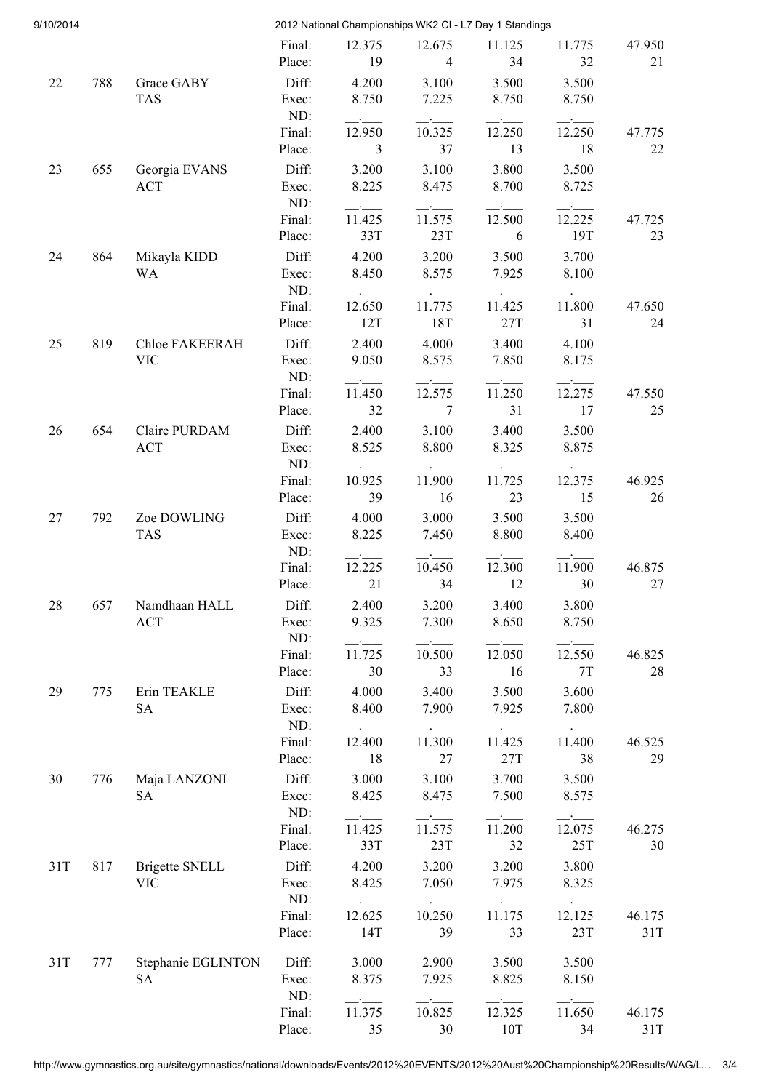| 9/10/2014 |     |                                 |                           |                        |                          | 2012 National Championships WK2 CI - L7 Day 1 Standings |                        |               |
|-----------|-----|---------------------------------|---------------------------|------------------------|--------------------------|---------------------------------------------------------|------------------------|---------------|
|           |     |                                 | Final:<br>Place:          | 12.375<br>19           | 12.675<br>$\overline{4}$ | 11.125<br>34                                            | 11.775<br>32           | 47.950<br>21  |
| 22        | 788 | Grace GABY<br><b>TAS</b>        | Diff:<br>Exec:            | 4.200<br>8.750         | 3.100<br>7.225           | 3.500<br>8.750                                          | 3.500<br>8.750         |               |
|           |     |                                 | ND:<br>Final:             | 12.950                 | 10.325                   | 12.250                                                  | 12.250                 | 47.775        |
| 23        | 655 | Georgia EVANS<br><b>ACT</b>     | Place:<br>Diff:<br>Exec:  | 3<br>3.200<br>8.225    | 37<br>3.100<br>8.475     | 13<br>3.800<br>8.700                                    | 18<br>3.500<br>8.725   | 22            |
|           |     |                                 | ND:<br>Final:             | 11.425                 | 11.575                   | 12.500                                                  | 12.225                 | 47.725        |
| 24        | 864 | Mikayla KIDD<br><b>WA</b>       | Place:<br>Diff:<br>Exec:  | 33T<br>4.200<br>8.450  | 23T<br>3.200<br>8.575    | 6<br>3.500<br>7.925                                     | 19T<br>3.700<br>8.100  | 23            |
|           |     |                                 | ND:<br>Final:<br>Place:   | 12.650<br>12T          | 11.775<br>18T            | 11.425<br>27T                                           | 11.800<br>31           | 47.650<br>24  |
| 25        | 819 | Chloe FAKEERAH<br><b>VIC</b>    | Diff:<br>Exec:<br>ND:     | 2.400<br>9.050         | 4.000<br>8.575           | 3.400<br>7.850                                          | 4.100<br>8.175         |               |
|           |     |                                 | Final:<br>Place:          | 11.450<br>32           | 12.575<br>7              | 11.250<br>31                                            | 12.275<br>17           | 47.550<br>25  |
| 26        | 654 | Claire PURDAM<br><b>ACT</b>     | Diff:<br>Exec:<br>ND:     | 2.400<br>8.525         | 3.100<br>8.800           | 3.400<br>8.325                                          | 3.500<br>8.875         |               |
|           | 792 | Zoe DOWLING                     | Final:<br>Place:<br>Diff: | 10.925<br>39<br>4.000  | 11.900<br>16<br>3.000    | 11.725<br>23<br>3.500                                   | 12.375<br>15<br>3.500  | 46.925<br>26  |
| 27        |     | <b>TAS</b>                      | Exec:<br>ND:              | 8.225                  | 7.450                    | 8.800                                                   | 8.400                  |               |
| 28        | 657 | Namdhaan HALL                   | Final:<br>Place:<br>Diff: | 12.225<br>21<br>2.400  | 10.450<br>34<br>3.200    | 12.300<br>12<br>3.400                                   | 11.900<br>30<br>3.800  | 46.875<br>27  |
|           |     | <b>ACT</b>                      | Exec:<br>ND:              | 9.325                  | 7.300                    | 8.650                                                   | 8.750                  |               |
| 29        | 775 | Erin TEAKLE                     | Final:<br>Place:<br>Diff: | 11.725<br>30<br>4.000  | 10.500<br>33<br>3.400    | 12.050<br>16<br>3.500                                   | 12.550<br>7T<br>3.600  | 46.825<br>28  |
|           |     | <b>SA</b>                       | Exec:<br>ND:              | 8.400                  | 7.900                    | 7.925                                                   | 7.800                  |               |
| 30        | 776 | Maja LANZONI                    | Final:<br>Place:<br>Diff: | 12.400<br>18<br>3.000  | 11.300<br>27<br>3.100    | 11.425<br>27T<br>3.700                                  | 11.400<br>38<br>3.500  | 46.525<br>29  |
|           |     | <b>SA</b>                       | Exec:<br>ND:              | 8.425                  | 8.475                    | 7.500                                                   | 8.575                  |               |
| 31T       | 817 | <b>Brigette SNELL</b>           | Final:<br>Place:<br>Diff: | 11.425<br>33T<br>4.200 | 11.575<br>23T<br>3.200   | 11.200<br>32<br>3.200                                   | 12.075<br>25T<br>3.800 | 46.275<br>30  |
|           |     | <b>VIC</b>                      | Exec:<br>ND:<br>Final:    | 8.425<br>12.625        | 7.050<br>10.250          | 7.975<br>11.175                                         | 8.325<br>12.125        | 46.175        |
|           |     |                                 | Place:                    | 14T                    | 39                       | 33                                                      | 23T                    | 31T           |
| 31T       | 777 | Stephanie EGLINTON<br><b>SA</b> | Diff:<br>Exec:<br>ND:     | 3.000<br>8.375         | 2.900<br>7.925           | 3.500<br>8.825                                          | 3.500<br>8.150         |               |
|           |     |                                 | Final:<br>Place:          | 11.375<br>35           | 10.825<br>30             | 12.325<br>10T                                           | 11.650<br>34           | 46.175<br>31T |